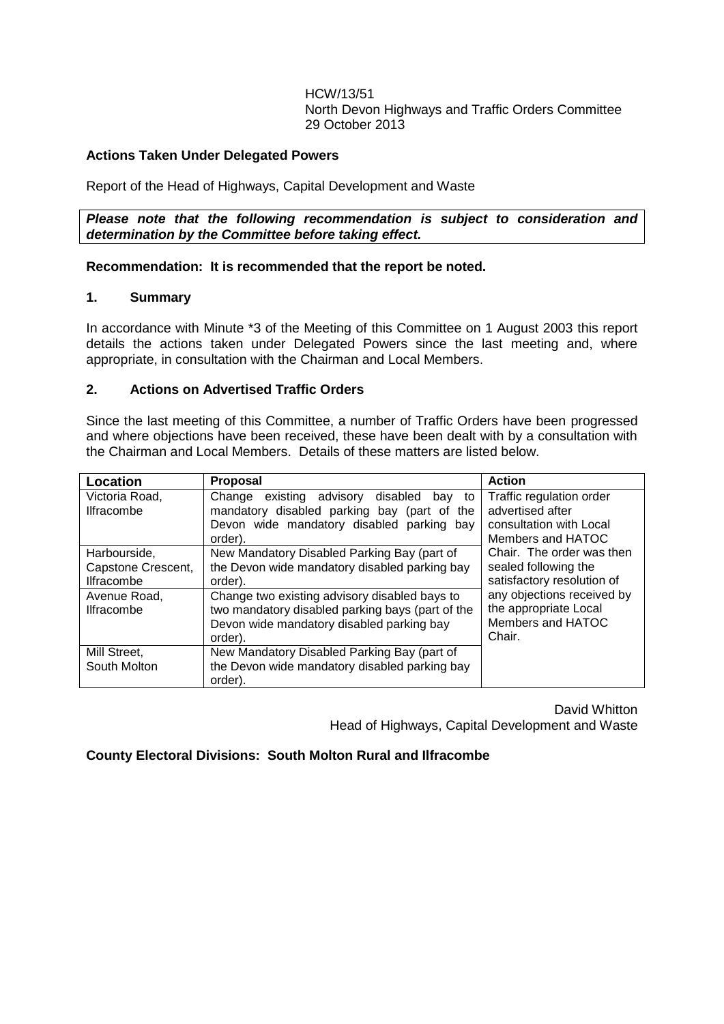HCW/13/51 North Devon Highways and Traffic Orders Committee 29 October 2013

## **Actions Taken Under Delegated Powers**

Report of the Head of Highways, Capital Development and Waste

*Please note that the following recommendation is subject to consideration and determination by the Committee before taking effect.*

## **Recommendation: It is recommended that the report be noted.**

## **1. Summary**

In accordance with Minute \*3 of the Meeting of this Committee on 1 August 2003 this report details the actions taken under Delegated Powers since the last meeting and, where appropriate, in consultation with the Chairman and Local Members.

## **2. Actions on Advertised Traffic Orders**

Since the last meeting of this Committee, a number of Traffic Orders have been progressed and where objections have been received, these have been dealt with by a consultation with the Chairman and Local Members. Details of these matters are listed below.

| Location           | Proposal                                          | <b>Action</b>              |
|--------------------|---------------------------------------------------|----------------------------|
| Victoria Road.     | existing advisory<br>disabled<br>Change<br>bay to | Traffic regulation order   |
| <b>Ilfracombe</b>  | mandatory disabled parking bay (part of the       | advertised after           |
|                    | Devon wide mandatory disabled parking bay         | consultation with Local    |
|                    | order).                                           | Members and HATOC          |
| Harbourside,       | New Mandatory Disabled Parking Bay (part of       | Chair. The order was then  |
| Capstone Crescent, | the Devon wide mandatory disabled parking bay     | sealed following the       |
| <b>Ilfracombe</b>  | order).                                           | satisfactory resolution of |
| Avenue Road,       | Change two existing advisory disabled bays to     | any objections received by |
| <b>Ilfracombe</b>  | two mandatory disabled parking bays (part of the  | the appropriate Local      |
|                    | Devon wide mandatory disabled parking bay         | Members and HATOC          |
|                    | order).                                           | Chair.                     |
| Mill Street,       | New Mandatory Disabled Parking Bay (part of       |                            |
| South Molton       | the Devon wide mandatory disabled parking bay     |                            |
|                    | order).                                           |                            |

David Whitton Head of Highways, Capital Development and Waste

**County Electoral Divisions: South Molton Rural and Ilfracombe**